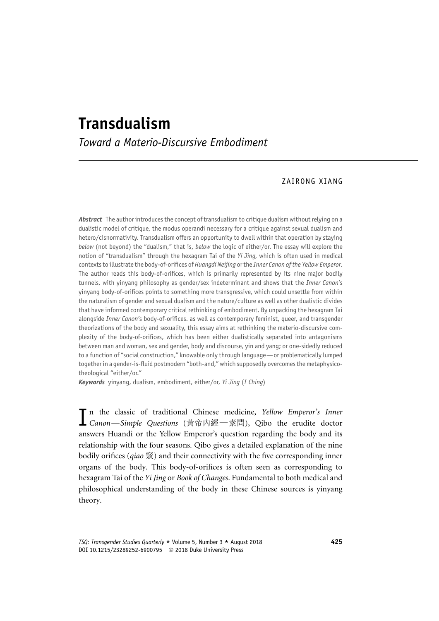# Transdualism

Toward a Materio-Discursive Embodiment

# ZAIRONG XIANG

Abstract The author introduces the concept of transdualism to critique dualism without relying on a dualistic model of critique, the modus operandi necessary for a critique against sexual dualism and hetero/cisnormativity. Transdualism offers an opportunity to dwell within that operation by staying below (not beyond) the "dualism," that is, below the logic of either/or. The essay will explore the notion of "transdualism" through the hexagram Tai of the Yi Jing, which is often used in medical contexts to illustrate the body-of-orifices of Huangdi Neijing or the Inner Canon of the Yellow Emperor. The author reads this body-of-orifices, which is primarily represented by its nine major bodily tunnels, with yinyang philosophy as gender/sex indeterminant and shows that the Inner Canon's yinyang body-of-orifices points to something more transgressive, which could unsettle from within the naturalism of gender and sexual dualism and the nature/culture as well as other dualistic divides that have informed contemporary critical rethinking of embodiment. By unpacking the hexagram Tai alongside Inner Canon's body-of-orifices. as well as contemporary feminist, queer, and transgender theorizations of the body and sexuality, this essay aims at rethinking the materio-discursive complexity of the body-of-orifices, which has been either dualistically separated into antagonisms between man and woman, sex and gender, body and discourse, yin and yang; or one-sidedly reduced to a function of "social construction," knowable only through language—or problematically lumped together in a gender-is-fluid postmodern "both-and," which supposedly overcomes the metaphysicotheological "either/or."

Keywords yinyang, dualism, embodiment, either/or, Yi Jing (I Ching)

In the classic of traditional Chinese medicine, Yellow Emperor's Inner<br>
Canon—Simple Questions (黄帝內經—素問), Qibo the erudite doctor answers Huandi or the Yellow Emperor's question regarding the body and its relationship with the four seasons. Qibo gives a detailed explanation of the nine bodily orifices (*qiao*  $\tilde{\mathcal{R}}$ ) and their connectivity with the five corresponding inner organs of the body. This body-of-orifices is often seen as corresponding to hexagram Tai of the Yi Jing or Book of Changes. Fundamental to both medical and philosophical understanding of the body in these Chinese sources is yinyang theory.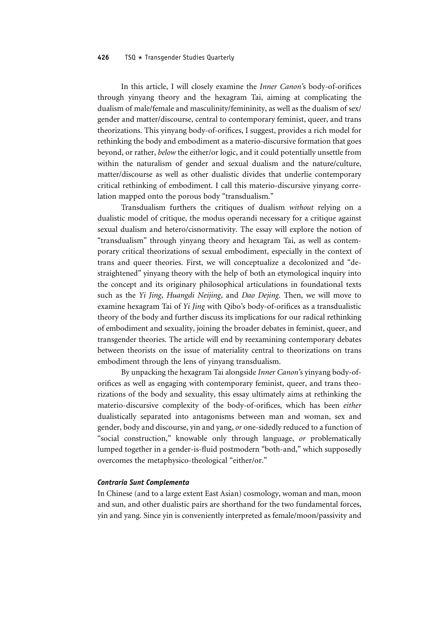In this article, I will closely examine the Inner Canon's body-of-orifices through yinyang theory and the hexagram Tai, aiming at complicating the dualism of male/female and masculinity/femininity, as well as the dualism of sex/ gender and matter/discourse, central to contemporary feminist, queer, and trans theorizations. This yinyang body-of-orifices, I suggest, provides a rich model for rethinking the body and embodiment as a materio-discursive formation that goes beyond, or rather, below the either/or logic, and it could potentially unsettle from within the naturalism of gender and sexual dualism and the nature/culture, matter/discourse as well as other dualistic divides that underlie contemporary critical rethinking of embodiment. I call this materio-discursive yinyang correlation mapped onto the porous body "transdualism."

Transdualism furthers the critiques of dualism without relying on a dualistic model of critique, the modus operandi necessary for a critique against sexual dualism and hetero/cisnormativity. The essay will explore the notion of "transdualism" through yinyang theory and hexagram Tai, as well as contemporary critical theorizations of sexual embodiment, especially in the context of trans and queer theories. First, we will conceptualize a decolonized and "destraightened" yinyang theory with the help of both an etymological inquiry into the concept and its originary philosophical articulations in foundational texts such as the Yi Jing, Huangdi Neijing, and Dao Dejing. Then, we will move to examine hexagram Tai of Yi Jing with Oibo's body-of-orifices as a transdualistic theory of the body and further discuss its implications for our radical rethinking of embodiment and sexuality, joining the broader debates in feminist, queer, and transgender theories. The article will end by reexamining contemporary debates between theorists on the issue of materiality central to theorizations on trans embodiment through the lens of yinyang transdualism.

By unpacking the hexagram Tai alongside Inner Canon's yinyang body-oforifices as well as engaging with contemporary feminist, queer, and trans theorizations of the body and sexuality, this essay ultimately aims at rethinking the materio-discursive complexity of the body-of-orifices, which has been either dualistically separated into antagonisms between man and woman, sex and gender, body and discourse, yin and yang, or one-sidedly reduced to a function of "social construction," knowable only through language, or problematically lumped together in a gender-is-fluid postmodern "both-and," which supposedly overcomes the metaphysico-theological "either/or."

## Contraria Sunt Complementa

In Chinese (and to a large extent East Asian) cosmology, woman and man, moon and sun, and other dualistic pairs are shorthand for the two fundamental forces, yin and yang. Since yin is conveniently interpreted as female/moon/passivity and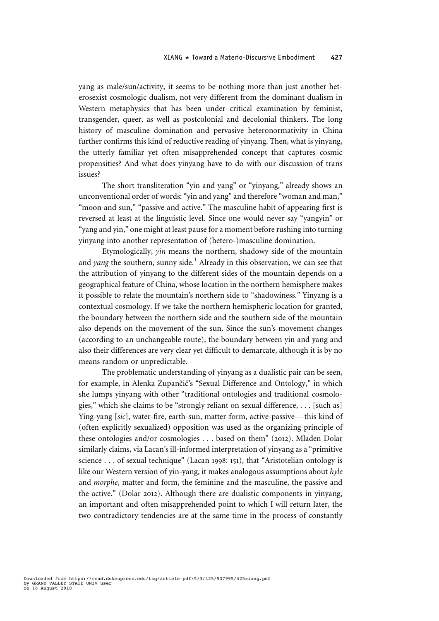yang as male/sun/activity, it seems to be nothing more than just another heterosexist cosmologic dualism, not very different from the dominant dualism in Western metaphysics that has been under critical examination by feminist, transgender, queer, as well as postcolonial and decolonial thinkers. The long history of masculine domination and pervasive heteronormativity in China further confirms this kind of reductive reading of yinyang. Then, what is yinyang, the utterly familiar yet often misapprehended concept that captures cosmic propensities? And what does yinyang have to do with our discussion of trans issues?

The short transliteration "yin and yang" or "yinyang," already shows an unconventional order of words: "yin and yang" and therefore "woman and man," "moon and sun," "passive and active." The masculine habit of appearing first is reversed at least at the linguistic level. Since one would never say "yangyin" or "yang and yin," one might at least pause for a moment before rushing into turning yinyang into another representation of (hetero-)masculine domination.

Etymologically, yin means the northern, shadowy side of the mountain and *yang* the southern, sunny side.<sup>1</sup> Already in this observation, we can see that the attribution of yinyang to the different sides of the mountain depends on a geographical feature of China, whose location in the northern hemisphere makes it possible to relate the mountain's northern side to "shadowiness." Yinyang is a contextual cosmology. If we take the northern hemispheric location for granted, the boundary between the northern side and the southern side of the mountain also depends on the movement of the sun. Since the sun's movement changes (according to an unchangeable route), the boundary between yin and yang and also their differences are very clear yet difficult to demarcate, although it is by no means random or unpredictable.

The problematic understanding of yinyang as a dualistic pair can be seen, for example, in Alenka Zupančič's "Sexual Difference and Ontology," in which she lumps yinyang with other "traditional ontologies and traditional cosmologies," which she claims to be "strongly reliant on sexual difference, . . . [such as] Ying-yang [sic], water-fire, earth-sun, matter-form, active-passive— this kind of (often explicitly sexualized) opposition was used as the organizing principle of these ontologies and/or cosmologies . . . based on them" (2012). Mladen Dolar similarly claims, via Lacan's ill-informed interpretation of yinyang as a "primitive science . . . of sexual technique" (Lacan 1998: 151), that "Aristotelian ontology is like our Western version of yin-yang, it makes analogous assumptions about hyle and morphe, matter and form, the feminine and the masculine, the passive and the active." (Dolar 2012). Although there are dualistic components in yinyang, an important and often misapprehended point to which I will return later, the two contradictory tendencies are at the same time in the process of constantly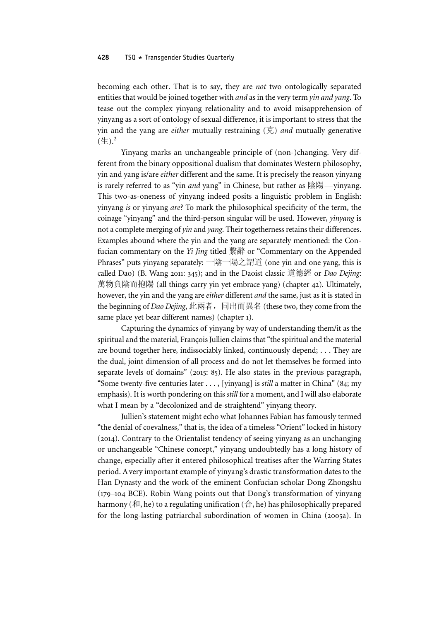becoming each other. That is to say, they are not two ontologically separated entities that would be joined together with and as in the very term yin and yang. To tease out the complex yinyang relationality and to avoid misapprehension of yinyang as a sort of ontology of sexual difference, it is important to stress that the yin and the yang are *either* mutually restraining  $(\bar{\pi})$  *and* mutually generative  $(\pm)$ .<sup>2</sup>

Yinyang marks an unchangeable principle of (non-)changing. Very different from the binary oppositional dualism that dominates Western philosophy, yin and yang is/are either different and the same. It is precisely the reason yinyang is rarely referred to as "yin and yang" in Chinese, but rather as 陰陽—yinyang. This two-as-oneness of yinyang indeed posits a linguistic problem in English: yinyang is or yinyang are? To mark the philosophical specificity of the term, the coinage "yinyang" and the third-person singular will be used. However, yinyang is not a complete merging of *yin* and *yang*. Their togetherness retains their differences. Examples abound where the yin and the yang are separately mentioned: the Confucian commentary on the Yi Jing titled 繫辭 or "Commentary on the Appended Phrases" puts yinyang separately: 一陰一陽之謂道 (one yin and one yang, this is called Dao) (B. Wang 2011: 345); and in the Daoist classic 道德經 or *Dao Dejing*: 萬物負陰而抱陽 (all things carry yin yet embrace yang) (chapter 42). Ultimately, however, the yin and the yang are either different and the same, just as it is stated in the beginning of *Dao Dejing*, 此兩者, 同出而異名 (these two, they come from the same place yet bear different names) (chapter 1).

Capturing the dynamics of yinyang by way of understanding them/it as the spiritual and the material, François Jullien claims that"the spiritual and the material are bound together here, indissociably linked, continuously depend; . . . They are the dual, joint dimension of all process and do not let themselves be formed into separate levels of domains" (2015: 85). He also states in the previous paragraph, "Some twenty-five centuries later . . . , [yinyang] is still a matter in China" (84; my emphasis). It is worth pondering on this still for a moment, and I will also elaborate what I mean by a "decolonized and de-straightend" yinyang theory.

Jullien's statement might echo what Johannes Fabian has famously termed "the denial of coevalness," that is, the idea of a timeless "Orient" locked in history (2014). Contrary to the Orientalist tendency of seeing yinyang as an unchanging or unchangeable "Chinese concept," yinyang undoubtedly has a long history of change, especially after it entered philosophical treatises after the Warring States period. A very important example of yinyang's drastic transformation dates to the Han Dynasty and the work of the eminent Confucian scholar Dong Zhongshu (179–104 BCE). Robin Wang points out that Dong's transformation of yinyang harmony (和, he) to a regulating unification (合, he) has philosophically prepared for the long-lasting patriarchal subordination of women in China (2005a). In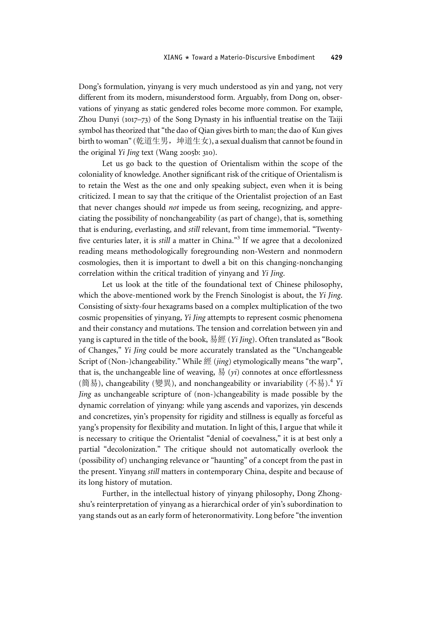Dong's formulation, yinyang is very much understood as yin and yang, not very different from its modern, misunderstood form. Arguably, from Dong on, observations of yinyang as static gendered roles become more common. For example, Zhou Dunyi (1017–73) of the Song Dynasty in his influential treatise on the Taiji symbol has theorized that "the dao of Qian gives birth to man; the dao of Kun gives birth to woman" (乾道生男, 坤道生女), a sexual dualism that cannot be found in the original Yi Jing text (Wang 2005b: 310).

Let us go back to the question of Orientalism within the scope of the coloniality of knowledge. Another significant risk of the critique of Orientalism is to retain the West as the one and only speaking subject, even when it is being criticized. I mean to say that the critique of the Orientalist projection of an East that never changes should not impede us from seeing, recognizing, and appreciating the possibility of nonchangeability (as part of change), that is, something that is enduring, everlasting, and still relevant, from time immemorial. "Twentyfive centuries later, it is *still* a matter in China."<sup>3</sup> If we agree that a decolonized reading means methodologically foregrounding non-Western and nonmodern cosmologies, then it is important to dwell a bit on this changing-nonchanging correlation within the critical tradition of yinyang and Yi Jing.

Let us look at the title of the foundational text of Chinese philosophy, which the above-mentioned work by the French Sinologist is about, the Yi Jing. Consisting of sixty-four hexagrams based on a complex multiplication of the two cosmic propensities of yinyang, Yi Jing attempts to represent cosmic phenomena and their constancy and mutations. The tension and correlation between yin and yang is captured in the title of the book, 易經 (*Yi Jing*). Often translated as "Book of Changes," Yi Jing could be more accurately translated as the "Unchangeable Script of (Non-)changeability." While 經 (jing) etymologically means "the warp", that is, the unchangeable line of weaving,  $\frac{1}{2}$  (yi) connotes at once effortlessness (簡易), changeability (變異), and nonchangeability or invariability (不易).<sup>4</sup> Yi Jing as unchangeable scripture of (non-)changeability is made possible by the dynamic correlation of yinyang: while yang ascends and vaporizes, yin descends and concretizes, yin's propensity for rigidity and stillness is equally as forceful as yang's propensity for flexibility and mutation. In light of this, I argue that while it is necessary to critique the Orientalist "denial of coevalness," it is at best only a partial "decolonization." The critique should not automatically overlook the (possibility of) unchanging relevance or "haunting" of a concept from the past in the present. Yinyang still matters in contemporary China, despite and because of its long history of mutation.

Further, in the intellectual history of yinyang philosophy, Dong Zhongshu's reinterpretation of yinyang as a hierarchical order of yin's subordination to yang stands out as an early form of heteronormativity. Long before "the invention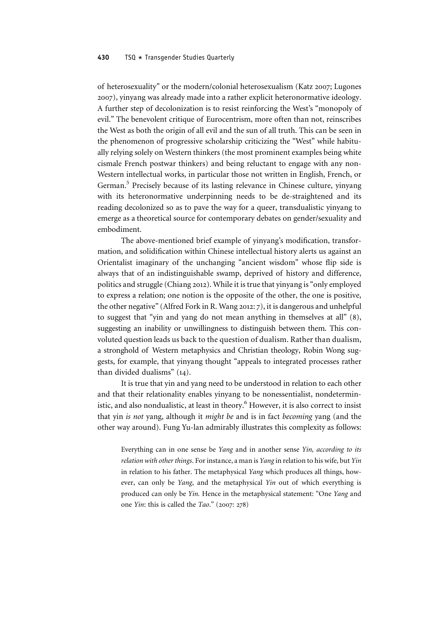of heterosexuality" or the modern/colonial heterosexualism (Katz 2007; Lugones 2007), yinyang was already made into a rather explicit heteronormative ideology. A further step of decolonization is to resist reinforcing the West's "monopoly of evil." The benevolent critique of Eurocentrism, more often than not, reinscribes the West as both the origin of all evil and the sun of all truth. This can be seen in the phenomenon of progressive scholarship criticizing the "West" while habitually relying solely on Western thinkers (the most prominent examples being white cismale French postwar thinkers) and being reluctant to engage with any non-Western intellectual works, in particular those not written in English, French, or German.<sup>5</sup> Precisely because of its lasting relevance in Chinese culture, yinyang with its heteronormative underpinning needs to be de-straightened and its reading decolonized so as to pave the way for a queer, transdualistic yinyang to emerge as a theoretical source for contemporary debates on gender/sexuality and embodiment.

The above-mentioned brief example of yinyang's modification, transformation, and solidification within Chinese intellectual history alerts us against an Orientalist imaginary of the unchanging "ancient wisdom" whose flip side is always that of an indistinguishable swamp, deprived of history and difference, politics and struggle (Chiang 2012). While it is true that yinyang is"only employed to express a relation; one notion is the opposite of the other, the one is positive, the other negative"(Alfred Fork in R. Wang 2012: 7), it is dangerous and unhelpful to suggest that "yin and yang do not mean anything in themselves at all" (8), suggesting an inability or unwillingness to distinguish between them. This convoluted question leads us back to the question of dualism. Rather than dualism, a stronghold of Western metaphysics and Christian theology, Robin Wong suggests, for example, that yinyang thought "appeals to integrated processes rather than divided dualisms" (14).

It is true that yin and yang need to be understood in relation to each other and that their relationality enables yinyang to be nonessentialist, nondeterministic, and also nondualistic, at least in theory.<sup>6</sup> However, it is also correct to insist that yin is not yang, although it might be and is in fact becoming yang (and the other way around). Fung Yu-lan admirably illustrates this complexity as follows:

Everything can in one sense be Yang and in another sense Yin, according to its relation with other things. For instance, a man is Yang in relation to his wife, but Yin in relation to his father. The metaphysical Yang which produces all things, however, can only be Yang, and the metaphysical Yin out of which everything is produced can only be Yin. Hence in the metaphysical statement: "One Yang and one Yin: this is called the Tao." (2007: 278)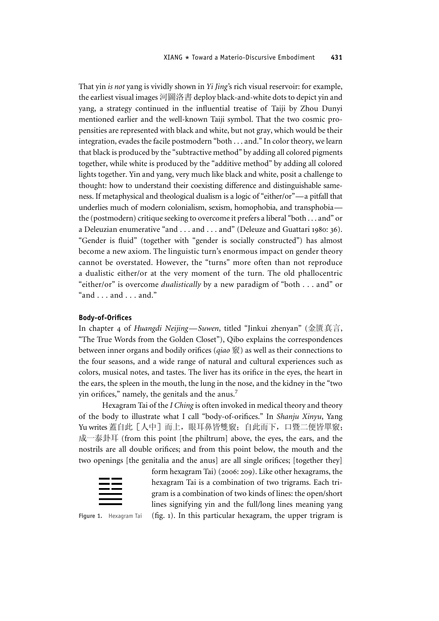That yin is not yang is vividly shown in Yi Jing's rich visual reservoir: for example, the earliest visual images 河圖洛書 deploy black-and-white dots to depict yin and yang, a strategy continued in the influential treatise of Taiji by Zhou Dunyi mentioned earlier and the well-known Taiji symbol. That the two cosmic propensities are represented with black and white, but not gray, which would be their integration, evades the facile postmodern "both . . . and."In color theory, we learn that black is produced by the "subtractive method" by adding all colored pigments together, while white is produced by the "additive method" by adding all colored lights together. Yin and yang, very much like black and white, posit a challenge to thought: how to understand their coexisting difference and distinguishable sameness. If metaphysical and theological dualism is a logic of "either/or"—a pitfall that underlies much of modern colonialism, sexism, homophobia, and transphobia the (postmodern) critique seeking to overcome it prefers a liberal"both . . . and" or a Deleuzian enumerative "and . . . and . . . and" (Deleuze and Guattari 1980: 36). "Gender is fluid" (together with "gender is socially constructed") has almost become a new axiom. The linguistic turn's enormous impact on gender theory cannot be overstated. However, the "turns" more often than not reproduce a dualistic either/or at the very moment of the turn. The old phallocentric "either/or" is overcome dualistically by a new paradigm of "both . . . and" or "and  $\ldots$  and  $\ldots$  and."

## Body-of-Orifices

In chapter 4 of Huangdi Neijing—Suwen, titled "Jinkui zhenyan" (金匱真言, "The True Words from the Golden Closet"), Qibo explains the correspondences between inner organs and bodily orifices (*qiao*  $\hat{\mathbf{g}}$ ) as well as their connections to the four seasons, and a wide range of natural and cultural experiences such as colors, musical notes, and tastes. The liver has its orifice in the eyes, the heart in the ears, the spleen in the mouth, the lung in the nose, and the kidney in the "two yin orifices," namely, the genitals and the anus. $<sup>7</sup>$ </sup>

Hexagram Tai of the I Ching is often invoked in medical theory and theory of the body to illustrate what I call "body-of-orifices." In Shanju Xinyu, Yang Yu writes 蓋自此 [人中] 而上, 眼耳鼻皆雙竅; 自此而下, 口暨二便皆單竅; 成一泰卦耳 (from this point [the philtrum] above, the eyes, the ears, and the nostrils are all double orifices; and from this point below, the mouth and the two openings [the genitalia and the anus] are all single orifices; [together they]



form hexagram Tai) (2006: 209). Like other hexagrams, the hexagram Tai is a combination of two trigrams. Each trigram is a combination of two kinds of lines: the open/short lines signifying yin and the full/long lines meaning yang

Figure 1. Hexagram Tai  $(f_1, f_2)$ . In this particular hexagram, the upper trigram is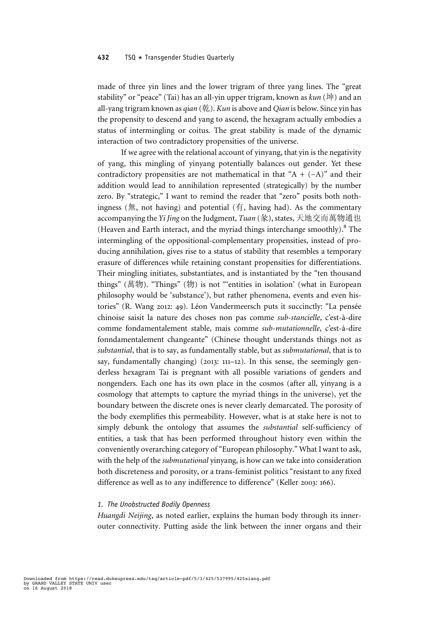made of three yin lines and the lower trigram of three yang lines. The "great stability" or "peace" (Tai) has an all-yin upper trigram, known as  $kun$  (坤) and an all-yang trigram known as  $qian$  (乾). Kun is above and Qian is below. Since yin has the propensity to descend and yang to ascend, the hexagram actually embodies a status of intermingling or coitus. The great stability is made of the dynamic interaction of two contradictory propensities of the universe.

If we agree with the relational account of yinyang, that yin is the negativity of yang, this mingling of yinyang potentially balances out gender. Yet these contradictory propensities are not mathematical in that "A +  $(-A)$ " and their addition would lead to annihilation represented (strategically) by the number zero. By "strategic," I want to remind the reader that "zero" posits both nothingness (無, not having) and potential (有, having had). As the commentary accompanying the Yi Jing on the Judgment, Tuan (彖), states, 天地交而萬物通也 (Heaven and Earth interact, and the myriad things interchange smoothly).<sup>8</sup> The intermingling of the oppositional-complementary propensities, instead of producing annihilation, gives rise to a status of stability that resembles a temporary erasure of differences while retaining constant propensities for differentiations. Their mingling initiates, substantiates, and is instantiated by the "ten thousand things" (萬物). "Things" (物) is not "'entities in isolation' (what in European philosophy would be 'substance'), but rather phenomena, events and even histories" (R. Wang 2012: 49). Léon Vandermeersch puts it succinctly: "La pensée chinoise saisit la nature des choses non pas comme sub-stancielle, c'est-à-dire comme fondamentalement stable, mais comme sub-mutationnelle, c'est-à-dire fonndamentalement changeante" (Chinese thought understands things not as substantial, that is to say, as fundamentally stable, but as submutational, that is to say, fundamentally changing) (2013: 111–12). In this sense, the seemingly genderless hexagram Tai is pregnant with all possible variations of genders and nongenders. Each one has its own place in the cosmos (after all, yinyang is a cosmology that attempts to capture the myriad things in the universe), yet the boundary between the discrete ones is never clearly demarcated. The porosity of the body exemplifies this permeability. However, what is at stake here is not to simply debunk the ontology that assumes the *substantial* self-sufficiency of entities, a task that has been performed throughout history even within the conveniently overarching category of"European philosophy." What I want to ask, with the help of the *submutational* yinyang, is how can we take into consideration both discreteness and porosity, or a trans-feminist politics "resistant to any fixed difference as well as to any indifference to difference" (Keller 2003: 166).

## 1. The Unobstructed Bodily Openness

Huangdi Neijing, as noted earlier, explains the human body through its innerouter connectivity. Putting aside the link between the inner organs and their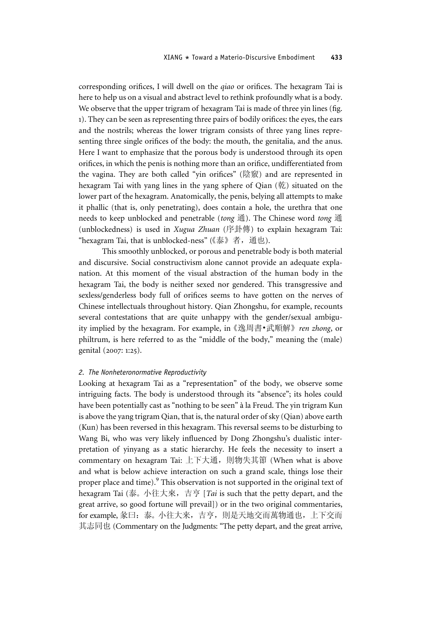corresponding orifices, I will dwell on the qiao or orifices. The hexagram Tai is here to help us on a visual and abstract level to rethink profoundly what is a body. We observe that the upper trigram of hexagram Tai is made of three yin lines (fig. 1). They can be seen as representing three pairs of bodily orifices: the eyes, the ears and the nostrils; whereas the lower trigram consists of three yang lines representing three single orifices of the body: the mouth, the genitalia, and the anus. Here I want to emphasize that the porous body is understood through its open orifices, in which the penis is nothing more than an orifice, undifferentiated from the vagina. They are both called "yin orifices" (陰竅) and are represented in hexagram Tai with yang lines in the yang sphere of Qian (乾) situated on the lower part of the hexagram. Anatomically, the penis, belying all attempts to make it phallic (that is, only penetrating), does contain a hole, the urethra that one needs to keep unblocked and penetrable (tong 通). The Chinese word tong 通 (unblockedness) is used in Xugua Zhuan (序卦傳) to explain hexagram Tai: "hexagram Tai, that is unblocked-ness" (《泰》者, 通也).

This smoothly unblocked, or porous and penetrable body is both material and discursive. Social constructivism alone cannot provide an adequate explanation. At this moment of the visual abstraction of the human body in the hexagram Tai, the body is neither sexed nor gendered. This transgressive and sexless/genderless body full of orifices seems to have gotten on the nerves of Chinese intellectuals throughout history. Qian Zhongshu, for example, recounts several contestations that are quite unhappy with the gender/sexual ambiguity implied by the hexagram. For example, in《逸周書•武順解》ren zhong, or philtrum, is here referred to as the "middle of the body," meaning the (male) genital (2007: 1:25).

# 2. The Nonheteronormative Reproductivity

Looking at hexagram Tai as a "representation" of the body, we observe some intriguing facts. The body is understood through its "absence"; its holes could have been potentially cast as "nothing to be seen" à la Freud. The yin trigram Kun is above the yang trigram Qian, that is, the natural order of sky (Qian) above earth (Kun) has been reversed in this hexagram. This reversal seems to be disturbing to Wang Bi, who was very likely influenced by Dong Zhongshu's dualistic interpretation of yinyang as a static hierarchy. He feels the necessity to insert a commentary on hexagram Tai: 上下大通, 則物失其節 (When what is above and what is below achieve interaction on such a grand scale, things lose their proper place and time).<sup>9</sup> This observation is not supported in the original text of hexagram Tai (泰。小往大來, 吉亨 [Tai is such that the petty depart, and the great arrive, so good fortune will prevail]) or in the two original commentaries, for example, 彖曰:泰。 小往大来,吉亨,則是天地交而萬物通也,上下交而 其志同也 (Commentary on the Judgments: "The petty depart, and the great arrive,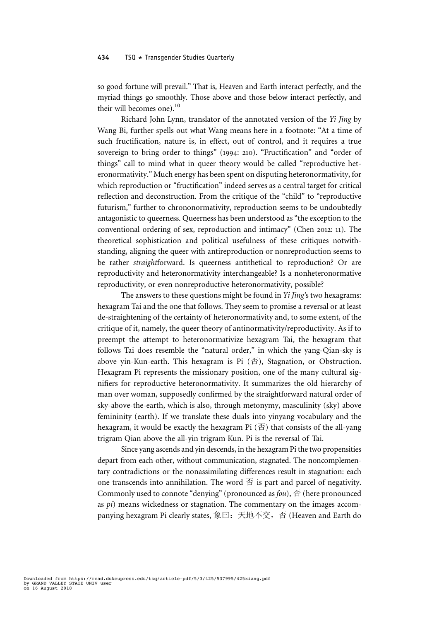so good fortune will prevail." That is, Heaven and Earth interact perfectly, and the myriad things go smoothly. Those above and those below interact perfectly, and their will becomes one). $^{10}$ 

Richard John Lynn, translator of the annotated version of the Yi Jing by Wang Bi, further spells out what Wang means here in a footnote: "At a time of such fructification, nature is, in effect, out of control, and it requires a true sovereign to bring order to things" (1994: 210). "Fructification" and "order of things" call to mind what in queer theory would be called "reproductive heteronormativity." Much energy has been spent on disputing heteronormativity, for which reproduction or "fructification" indeed serves as a central target for critical reflection and deconstruction. From the critique of the "child" to "reproductive futurism," further to chrononormativity, reproduction seems to be undoubtedly antagonistic to queerness. Queerness has been understood as "the exception to the conventional ordering of sex, reproduction and intimacy" (Chen 2012: 11). The theoretical sophistication and political usefulness of these critiques notwithstanding, aligning the queer with antireproduction or nonreproduction seems to be rather straightforward. Is queerness antithetical to reproduction? Or are reproductivity and heteronormativity interchangeable? Is a nonheteronormative reproductivity, or even nonreproductive heteronormativity, possible?

The answers to these questions might be found in Yi Jing's two hexagrams: hexagram Tai and the one that follows. They seem to promise a reversal or at least de-straightening of the certainty of heteronormativity and, to some extent, of the critique of it, namely, the queer theory of antinormativity/reproductivity. As if to preempt the attempt to heteronormativize hexagram Tai, the hexagram that follows Tai does resemble the "natural order," in which the yang-Qian-sky is above yin-Kun-earth. This hexagram is Pi  $(\overline{\Phi})$ , Stagnation, or Obstruction. Hexagram Pi represents the missionary position, one of the many cultural signifiers for reproductive heteronormativity. It summarizes the old hierarchy of man over woman, supposedly confirmed by the straightforward natural order of sky-above-the-earth, which is also, through metonymy, masculinity (sky) above femininity (earth). If we translate these duals into yinyang vocabulary and the hexagram, it would be exactly the hexagram Pi  $(\overline{\text{f}})$  that consists of the all-yang trigram Qian above the all-yin trigram Kun. Pi is the reversal of Tai.

Since yang ascends and yin descends, in the hexagram Pi the two propensities depart from each other, without communication, stagnated. The noncomplementary contradictions or the nonassimilating differences result in stagnation: each one transcends into annihilation. The word  $\overline{\Phi}$  is part and parcel of negativity. Commonly used to connote "denying" (pronounced as  $f_0u$ ),  $\overline{\oplus}$  (here pronounced as pi) means wickedness or stagnation. The commentary on the images accompanying hexagram Pi clearly states, 象曰:天地不交,否 (Heaven and Earth do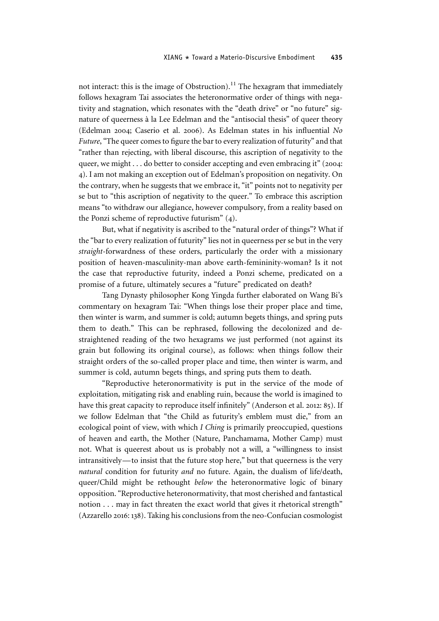not interact: this is the image of Obstruction).<sup>11</sup> The hexagram that immediately follows hexagram Tai associates the heteronormative order of things with negativity and stagnation, which resonates with the "death drive" or "no future" signature of queerness à la Lee Edelman and the "antisocial thesis" of queer theory (Edelman 2004; Caserio et al. 2006). As Edelman states in his influential No Future,"The queer comes to figure the bar to every realization of futurity" and that "rather than rejecting, with liberal discourse, this ascription of negativity to the queer, we might . . . do better to consider accepting and even embracing it" (2004: 4). I am not making an exception out of Edelman's proposition on negativity. On the contrary, when he suggests that we embrace it, "it" points not to negativity per se but to "this ascription of negativity to the queer." To embrace this ascription means "to withdraw our allegiance, however compulsory, from a reality based on the Ponzi scheme of reproductive futurism" (4).

But, what if negativity is ascribed to the "natural order of things"? What if the "bar to every realization of futurity" lies not in queerness per se but in the very straight-forwardness of these orders, particularly the order with a missionary position of heaven-masculinity-man above earth-femininity-woman? Is it not the case that reproductive futurity, indeed a Ponzi scheme, predicated on a promise of a future, ultimately secures a "future" predicated on death?

Tang Dynasty philosopher Kong Yingda further elaborated on Wang Bi's commentary on hexagram Tai: "When things lose their proper place and time, then winter is warm, and summer is cold; autumn begets things, and spring puts them to death." This can be rephrased, following the decolonized and destraightened reading of the two hexagrams we just performed (not against its grain but following its original course), as follows: when things follow their straight orders of the so-called proper place and time, then winter is warm, and summer is cold, autumn begets things, and spring puts them to death.

"Reproductive heteronormativity is put in the service of the mode of exploitation, mitigating risk and enabling ruin, because the world is imagined to have this great capacity to reproduce itself infinitely" (Anderson et al. 2012: 85). If we follow Edelman that "the Child as futurity's emblem must die," from an ecological point of view, with which I Ching is primarily preoccupied, questions of heaven and earth, the Mother (Nature, Panchamama, Mother Camp) must not. What is queerest about us is probably not a will, a "willingness to insist intransitively— to insist that the future stop here," but that queerness is the very natural condition for futurity and no future. Again, the dualism of life/death, queer/Child might be rethought *below* the heteronormative logic of binary opposition."Reproductive heteronormativity, that most cherished and fantastical notion . . . may in fact threaten the exact world that gives it rhetorical strength" (Azzarello 2016: 138). Taking his conclusions from the neo-Confucian cosmologist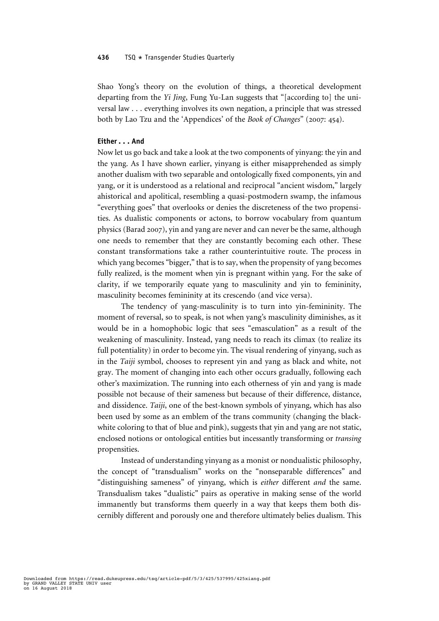Shao Yong's theory on the evolution of things, a theoretical development departing from the Yi Jing, Fung Yu-Lan suggests that "[according to] the universal law . . . everything involves its own negation, a principle that was stressed both by Lao Tzu and the 'Appendices' of the Book of Changes" (2007: 454).

# Either . . . And

Now let us go back and take a look at the two components of yinyang: the yin and the yang. As I have shown earlier, yinyang is either misapprehended as simply another dualism with two separable and ontologically fixed components, yin and yang, or it is understood as a relational and reciprocal "ancient wisdom," largely ahistorical and apolitical, resembling a quasi-postmodern swamp, the infamous "everything goes" that overlooks or denies the discreteness of the two propensities. As dualistic components or actons, to borrow vocabulary from quantum physics (Barad 2007), yin and yang are never and can never be the same, although one needs to remember that they are constantly becoming each other. These constant transformations take a rather counterintuitive route. The process in which yang becomes "bigger," that is to say, when the propensity of yang becomes fully realized, is the moment when yin is pregnant within yang. For the sake of clarity, if we temporarily equate yang to masculinity and yin to femininity, masculinity becomes femininity at its crescendo (and vice versa).

The tendency of yang-masculinity is to turn into yin-femininity. The moment of reversal, so to speak, is not when yang's masculinity diminishes, as it would be in a homophobic logic that sees "emasculation" as a result of the weakening of masculinity. Instead, yang needs to reach its climax (to realize its full potentiality) in order to become yin. The visual rendering of yinyang, such as in the Taiji symbol, chooses to represent yin and yang as black and white, not gray. The moment of changing into each other occurs gradually, following each other's maximization. The running into each otherness of yin and yang is made possible not because of their sameness but because of their difference, distance, and dissidence. Taiji, one of the best-known symbols of yinyang, which has also been used by some as an emblem of the trans community (changing the blackwhite coloring to that of blue and pink), suggests that yin and yang are not static, enclosed notions or ontological entities but incessantly transforming or transing propensities.

Instead of understanding yinyang as a monist or nondualistic philosophy, the concept of "transdualism" works on the "nonseparable differences" and "distinguishing sameness" of yinyang, which is either different and the same. Transdualism takes "dualistic" pairs as operative in making sense of the world immanently but transforms them queerly in a way that keeps them both discernibly different and porously one and therefore ultimately belies dualism. This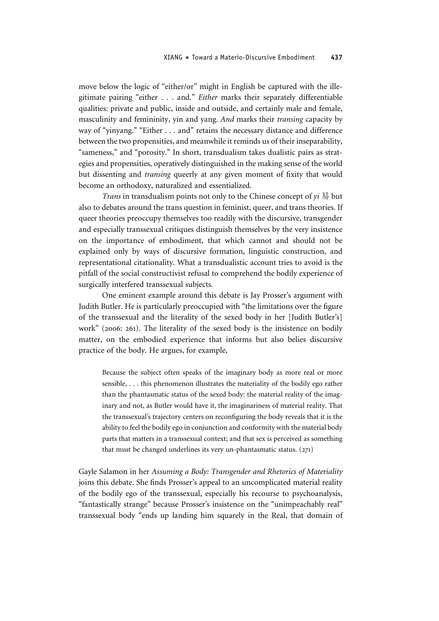move below the logic of "either/or" might in English be captured with the illegitimate pairing "either . . . and." Either marks their separately differentiable qualities: private and public, inside and outside, and certainly male and female, masculinity and femininity, yin and yang. And marks their transing capacity by way of "yinyang." "Either . . . and" retains the necessary distance and difference between the two propensities, and meanwhile it reminds us of their inseparability, "sameness," and "porosity." In short, transdualism takes dualistic pairs as strategies and propensities, operatively distinguished in the making sense of the world but dissenting and transing queerly at any given moment of fixity that would become an orthodoxy, naturalized and essentialized.

Trans in transdualism points not only to the Chinese concept of  $yi \frac{1}{20}$  but also to debates around the trans question in feminist, queer, and trans theories. If queer theories preoccupy themselves too readily with the discursive, transgender and especially transsexual critiques distinguish themselves by the very insistence on the importance of embodiment, that which cannot and should not be explained only by ways of discursive formation, linguistic construction, and representational citationality. What a transdualistic account tries to avoid is the pitfall of the social constructivist refusal to comprehend the bodily experience of surgically interfered transsexual subjects.

One eminent example around this debate is Jay Prosser's argument with Judith Butler. He is particularly preoccupied with "the limitations over the figure of the transsexual and the literality of the sexed body in her [Judith Butler's] work" (2006: 261). The literality of the sexed body is the insistence on bodily matter, on the embodied experience that informs but also belies discursive practice of the body. He argues, for example,

Because the subject often speaks of the imaginary body as more real or more sensible, . . . this phenomenon illustrates the materiality of the bodily ego rather than the phantasmatic status of the sexed body: the material reality of the imaginary and not, as Butler would have it, the imaginariness of material reality. That the transsexual's trajectory centers on reconfiguring the body reveals that it is the ability to feel the bodily ego in conjunction and conformity with the material body parts that matters in a transsexual context; and that sex is perceived as something that must be changed underlines its very un-phantasmatic status.  $(271)$ 

Gayle Salamon in her Assuming a Body: Transgender and Rhetorics of Materiality joins this debate. She finds Prosser's appeal to an uncomplicated material reality of the bodily ego of the transsexual, especially his recourse to psychoanalysis, "fantastically strange" because Prosser's insistence on the "unimpeachably real" transsexual body "ends up landing him squarely in the Real, that domain of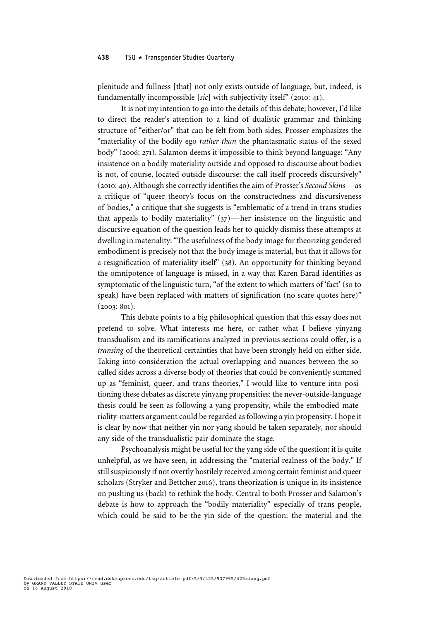plenitude and fullness [that] not only exists outside of language, but, indeed, is fundamentally incompossible [sic] with subjectivity itself" (2010: 41).

It is not my intention to go into the details of this debate; however, I'd like to direct the reader's attention to a kind of dualistic grammar and thinking structure of "either/or" that can be felt from both sides. Prosser emphasizes the "materiality of the bodily ego rather than the phantasmatic status of the sexed body" (2006: 271). Salamon deems it impossible to think beyond language: "Any insistence on a bodily materiality outside and opposed to discourse about bodies is not, of course, located outside discourse: the call itself proceeds discursively" (2010: 40). Although she correctly identifies the aim of Prosser's Second Skins—as a critique of "queer theory's focus on the constructedness and discursiveness of bodies," a critique that she suggests is "emblematic of a trend in trans studies that appeals to bodily materiality" (37)—her insistence on the linguistic and discursive equation of the question leads her to quickly dismiss these attempts at dwelling in materiality:"The usefulness of the body image for theorizing gendered embodiment is precisely not that the body image is material, but that it allows for a resignification of materiality itself" (38). An opportunity for thinking beyond the omnipotence of language is missed, in a way that Karen Barad identifies as symptomatic of the linguistic turn, "of the extent to which matters of 'fact' (so to speak) have been replaced with matters of signification (no scare quotes here)" (2003: 801).

This debate points to a big philosophical question that this essay does not pretend to solve. What interests me here, or rather what I believe yinyang transdualism and its ramifications analyzed in previous sections could offer, is a transing of the theoretical certainties that have been strongly held on either side. Taking into consideration the actual overlapping and nuances between the socalled sides across a diverse body of theories that could be conveniently summed up as "feminist, queer, and trans theories," I would like to venture into positioning these debates as discrete yinyang propensities: the never-outside-language thesis could be seen as following a yang propensity, while the embodied-materiality-matters argument could be regarded as following a yin propensity. I hope it is clear by now that neither yin nor yang should be taken separately, nor should any side of the transdualistic pair dominate the stage.

Psychoanalysis might be useful for the yang side of the question; it is quite unhelpful, as we have seen, in addressing the "material realness of the body." If still suspiciously if not overtly hostilely received among certain feminist and queer scholars (Stryker and Bettcher 2016), trans theorization is unique in its insistence on pushing us (back) to rethink the body. Central to both Prosser and Salamon's debate is how to approach the "bodily materiality" especially of trans people, which could be said to be the yin side of the question: the material and the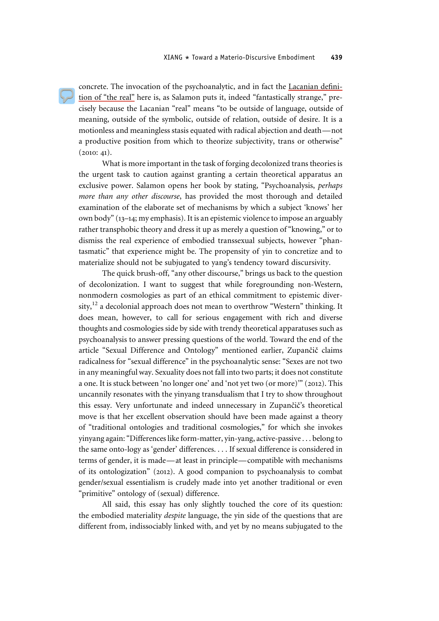concrete. The invocation of the psychoanalytic, and in fact the Lacanian definition of "the real" here is, as Salamon puts it, indeed "fantastically strange," precisely because the Lacanian "real" means "to be outside of language, outside of meaning, outside of the symbolic, outside of relation, outside of desire. It is a motionless and meaningless stasis equated with radical abjection and death—not a productive position from which to theorize subjectivity, trans or otherwise"  $(2010: 41).$ 

What is more important in the task of forging decolonized trans theories is the urgent task to caution against granting a certain theoretical apparatus an exclusive power. Salamon opens her book by stating, "Psychoanalysis, perhaps more than any other discourse, has provided the most thorough and detailed examination of the elaborate set of mechanisms by which a subject 'knows' her own body"(13–14; my emphasis). It is an epistemic violence to impose an arguably rather transphobic theory and dress it up as merely a question of "knowing," or to dismiss the real experience of embodied transsexual subjects, however "phantasmatic" that experience might be. The propensity of yin to concretize and to materialize should not be subjugated to yang's tendency toward discursivity.

The quick brush-off, "any other discourse," brings us back to the question of decolonization. I want to suggest that while foregrounding non-Western, nonmodern cosmologies as part of an ethical commitment to epistemic diversity,  $12$  a decolonial approach does not mean to overthrow "Western" thinking. It does mean, however, to call for serious engagement with rich and diverse thoughts and cosmologies side by side with trendy theoretical apparatuses such as psychoanalysis to answer pressing questions of the world. Toward the end of the article "Sexual Difference and Ontology" mentioned earlier, Zupančič claims radicalness for "sexual difference" in the psychoanalytic sense: "Sexes are not two in any meaningful way. Sexuality does not fall into two parts; it does not constitute a one. It is stuck between 'no longer one' and 'not yet two (or more)'" (2012). This uncannily resonates with the yinyang transdualism that I try to show throughout this essay. Very unfortunate and indeed unnecessary in Zupančič's theoretical move is that her excellent observation should have been made against a theory of "traditional ontologies and traditional cosmologies," for which she invokes yinyang again:"Differences like form-matter, yin-yang, active-passive . . . belong to the same onto-logy as 'gender' differences. . . . If sexual difference is considered in terms of gender, it is made—at least in principle—compatible with mechanisms of its ontologization" (2012). A good companion to psychoanalysis to combat gender/sexual essentialism is crudely made into yet another traditional or even "primitive" ontology of (sexual) difference.

All said, this essay has only slightly touched the core of its question: the embodied materiality *despite* language, the yin side of the questions that are different from, indissociably linked with, and yet by no means subjugated to the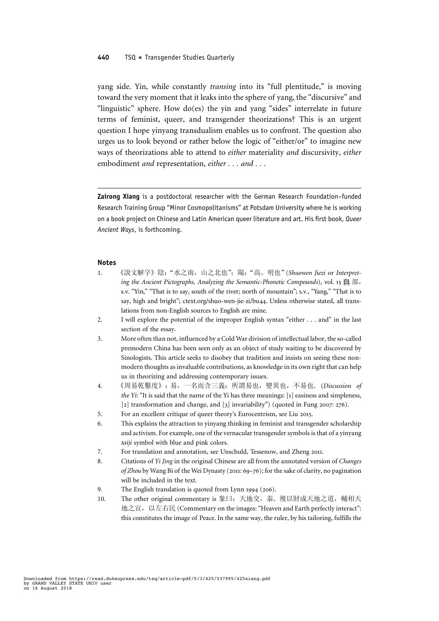## 440 TSQ \* Transgender Studies Quarterly

yang side. Yin, while constantly transing into its "full plentitude," is moving toward the very moment that it leaks into the sphere of yang, the "discursive" and "linguistic" sphere. How do(es) the yin and yang "sides" interrelate in future terms of feminist, queer, and transgender theorizations? This is an urgent question I hope yinyang transdualism enables us to confront. The question also urges us to look beyond or rather below the logic of "either/or" to imagine new ways of theorizations able to attend to either materiality and discursivity, either embodiment and representation, either . . . and . . .

Zairong Xiang is a postdoctoral researcher with the German Research Foundation–funded Research Training Group "Minor Cosmopolitanisms" at Potsdam University where he is working on a book project on Chinese and Latin American queer literature and art. His first book, Queer Ancient Ways, is forthcoming.

## Notes

- 1. 《說文解字》陰:"水之南,山之北也";陽:"高、明也"(Shuowen Jiezi or Interpreting the Ancient Pictographs, Analyzing the Semantic-Phonetic Compounds), vol. 15  $\equiv \exists \exists$ , s.v. "Yin," "That is to say, south of the river; north of mountain"; s.v., "Yang," "That is to say, high and bright"; ctext.org/shuo-wen-jie-zi/bu44. Unless otherwise stated, all translations from non-English sources to English are mine.
- 2. I will explore the potential of the improper English syntax "either . . . and" in the last section of the essay.
- 3. More often than not, influenced by a Cold War division of intellectual labor, the so-called premodern China has been seen only as an object of study waiting to be discovered by Sinologists. This article seeks to disobey that tradition and insists on seeing these nonmodern thoughts as invaluable contributions, as knowledge in its own right that can help us in theorizing and addressing contemporary issues.
- 4. 《周易乾鑿度》: 易, 一名而含三義: 所謂易也, 變異也, 不易也。(Discussion of *the Yi*: "It is said that the name of the Yi has three meanings: [1] easiness and simpleness, [2] transformation and change, and [3] invariability") (quoted in Fung 2007: 276).
- 5. For an excellent critique of queer theory's Eurocentrism, see Liu 2015.
- 6. This explains the attraction to yinyang thinking in feminist and transgender scholarship and activism. For example, one of the vernacular transgender symbols is that of a yinyang taiji symbol with blue and pink colors.
- 7. For translation and annotation, see Unschuld, Tessenow, and Zheng 2011.
- 8. Citations of Yi Jing in the original Chinese are all from the annotated version of Changes of Zhou by Wang Bi of the Wei Dynasty (2011: 69–76); for the sake of clarity, no pagination will be included in the text.
- 9. The English translation is quoted from Lynn 1994 (206).
- 10. The other original commentary is 象曰:天地交,泰。 後以財成天地之道,輔相天 地之宜,以左右民 (Commentary on the images: "Heaven and Earth perfectly interact": this constitutes the image of Peace. In the same way, the ruler, by his tailoring, fulfills the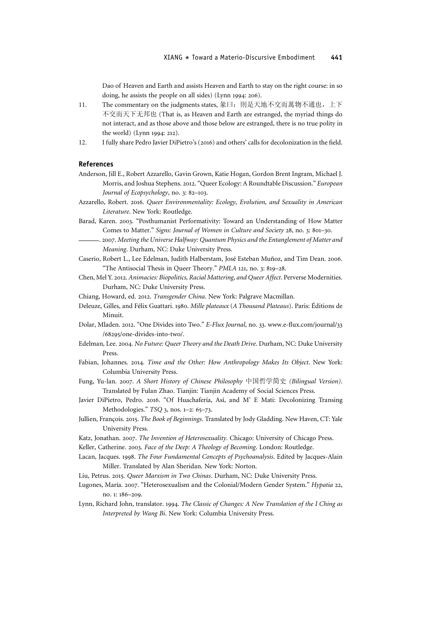Dao of Heaven and Earth and assists Heaven and Earth to stay on the right course: in so doing, he assists the people on all sides) (Lynn 1994: 206).

- 11. The commentary on the judgments states, 彖曰: 則是天地不交而萬物不通也, 上下 不交而天下无邦也 (That is, as Heaven and Earth are estranged, the myriad things do not interact, and as those above and those below are estranged, there is no true polity in the world) (Lynn 1994: 212).
- 12. I fully share Pedro Javier DiPietro's (2016) and others' calls for decolonization in the field.

### References

- Anderson, Jill E., Robert Azzarello, Gavin Grown, Katie Hogan, Gordon Brent Ingram, Michael J. Morris, and Joshua Stephens. 2012."Queer Ecology: A Roundtable Discussion." European Journal of Ecopsychology, no. 3: 82–103.
- Azzarello, Robert. 2016. Queer Environmentality: Ecology, Evolution, and Sexuality in American Literature. New York: Routledge.
- Barad, Karen. 2003. "Posthumanist Performativity: Toward an Understanding of How Matter Comes to Matter." Signs: Journal of Women in Culture and Society 28, no. 3: 801–30.
	- . 2007. Meeting the Universe Halfway: Quantum Physics and the Entanglement of Matter and Meaning. Durham, NC: Duke University Press.
- Caserio, Robert L., Lee Edelman, Judith Halberstam, José Esteban Muñoz, and Tim Dean. 2006. "The Antisocial Thesis in Queer Theory." PMLA 121, no. 3: 819–28.
- Chen, Mel Y. 2012. Animacies: Biopolitics, Racial Mattering, and Queer Affect. Perverse Modernities. Durham, NC: Duke University Press.
- Chiang, Howard, ed. 2012. Transgender China. New York: Palgrave Macmillan.
- Deleuze, Gilles, and Félix Guattari. 1980. Mille plateaux (A Thousand Plateaus). Paris: Éditions de Minuit.
- Dolar, Mladen. 2012. "One Divides into Two." E-Flux Journal, no. 33. www.e-flux.com/journal/33 /68295/one-divides-into-two/.
- Edelman, Lee. 2004. No Future: Queer Theory and the Death Drive. Durham, NC: Duke University Press.
- Fabian, Johannes. 2014. Time and the Other: How Anthropology Makes Its Object. New York: Columbia University Press.
- Fung, Yu-lan. 2007. A Short History of Chinese Philosophy 中国哲学简史 (Bilingual Version). Translated by Fulan Zhao. Tianjin: Tianjin Academy of Social Sciences Press.
- Javier DiPietro, Pedro. 2016. "Of Huachafería, Así, and M' E Mati: Decolonizing Transing Methodologies." TSQ 3, nos. 1–2: 65–73.
- Jullien, François. 2015. The Book of Beginnings. Translated by Jody Gladding. New Haven, CT: Yale University Press.
- Katz, Jonathan. 2007. The Invention of Heterosexuality. Chicago: University of Chicago Press.
- Keller, Catherine. 2003. Face of the Deep: A Theology of Becoming. London: Routledge.
- Lacan, Jacques. 1998. The Four Fundamental Concepts of Psychoanalysis. Edited by Jacques-Alain Miller. Translated by Alan Sheridan. New York: Norton.
- Liu, Petrus. 2015. Queer Marxism in Two Chinas. Durham, NC: Duke University Press.
- Lugones, María. 2007. "Heterosexualism and the Colonial/Modern Gender System." Hypatia 22, no. 1: 186–209.
- Lynn, Richard John, translator. 1994. The Classic of Changes: A New Translation of the I Ching as Interpreted by Wang Bi. New York: Columbia University Press.